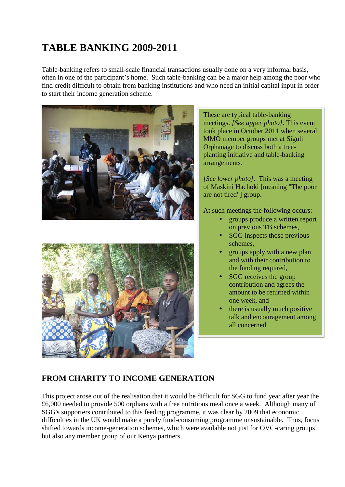# **TABLE BANKING 2009-2011**

Table-banking refers to small-scale financial transactions usually done on a very informal basis, often in one of the participant's home. Such table-banking can be a major help among the poor who find credit difficult to obtain from banking institutions and who need an initial capital input in order to start their income generation scheme.





#### These are typical table-banking meetings. *[See upper photo]*. This event took place in October 2011 when several MMO member groups met at Siguli Orphanage to discuss both a tree planting initiative and table-banking arrangements.

*[See lower photo]*. This was a meeting of Maskini Hachoki [meaning "The poor are not tired"] group.

At such meetings the following occurs:

- groups produce a written report on previous TB schemes,
- SGG inspects those previous schemes,
- groups apply with a new plan and with their contribution to the funding required,
- SGG receives the group contribution and agrees the amount to be returned within one week, and
- there is usually much positive talk and encouragement among all concerned.

## **FROM CHARITY TO INCOME GENERATION**

This project arose out of the realisation that it would be difficult for SGG to fund year after year the £6,000 needed to provide 500 orphans with a free nutritious meal once a week. Although many of SGG's supporters contributed to this feeding programme, it was clear by 2009 that economic difficulties in the UK would make a purely fund-consuming programme unsustainable. Thus, focus shifted towards income-generation schemes, which were available not just for OVC-caring groups but also any member group of our Kenya partners.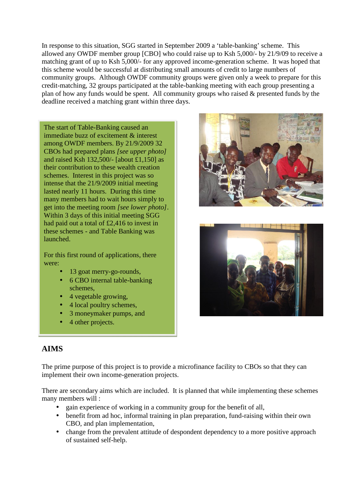In response to this situation, SGG started in September 2009 a 'table-banking' scheme. This allowed any OWDF member group [CBO] who could raise up to Ksh 5,000/- by 21/9/09 to receive a matching grant of up to Ksh 5,000/- for any approved income-generation scheme. It was hoped that this scheme would be successful at distributing small amounts of credit to large numbers of community groups. Although OWDF community groups were given only a week to prepare for this credit-matching, 32 groups participated at the table-banking meeting with each group presenting a plan of how any funds would be spent. All community groups who raised & presented funds by the deadline received a matching grant within three days.

The start of Table-Banking caused an immediate buzz of excitement & interest among OWDF members. By 21/9/2009 32 CBOs had prepared plans *[see upper photo]* and raised Ksh  $132,500/$ - [about £1,150] as their contribution to these wealth creation schemes. Interest in this project was so intense that the 21/9/2009 initial meeting lasted nearly 11 hours. During this time many members had to wait hours simply to get into the meeting room *[see lower photo]*. Within 3 days of this initial meeting SGG had paid out a total of £2,416 to invest in these schemes - and Table Banking was launched.

For this first round of applications, there were:

- 13 goat merry-go-rounds,
- 6 CBO internal table-banking schemes,
- 4 vegetable growing,
- 4 local poultry schemes,
- 3 moneymaker pumps, and
- 4 other projects.





## **AIMS**

The prime purpose of this project is to provide a microfinance facility to CBOs so that they can implement their own income-generation projects.

There are secondary aims which are included. It is planned that while implementing these schemes many members will :

- gain experience of working in a community group for the benefit of all,
- benefit from ad hoc, informal training in plan preparation, fund-raising within their own CBO, and plan implementation,
- change from the prevalent attitude of despondent dependency to a more positive approach of sustained self-help.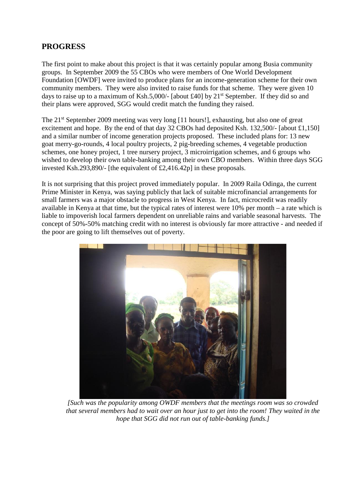#### **PROGRESS**

The first point to make about this project is that it was certainly popular among Busia community groups. In September 2009 the 55 CBOs who were members of One World Development Foundation [OWDF] were invited to produce plans for an income-generation scheme for their own community members. They were also invited to raise funds for that scheme. They were given 10 days to raise up to a maximum of Ksh.5,000/- [about £40] by  $21^{st}$  September. If they did so and their plans were approved, SGG would credit match the funding they raised.

The 21<sup>st</sup> September 2009 meeting was very long [11 hours!], exhausting, but also one of great excitement and hope. By the end of that day 32 CBOs had deposited Ksh. 132,500/- [about £1,150] and a similar number of income generation projects proposed. These included plans for: 13 new goat merry-go-rounds, 4 local poultry projects, 2 pig-breeding schemes, 4 vegetable production schemes, one honey project, 1 tree nursery project, 3 microirrigation schemes, and 6 groups who wished to develop their own table-banking among their own CBO members. Within three days SGG invested Ksh.293,890/- [the equivalent of £2,416.42p] in these proposals.

It is not surprising that this project proved immediately popular. In 2009 Raila Odinga, the current Prime Minister in Kenya, was saying publicly that lack of suitable microfinancial arrangements for small farmers was a major obstacle to progress in West Kenya. In fact, microcredit was readily available in Kenya at that time, but the typical rates of interest were 10% per month – a rate which is liable to impoverish local farmers dependent on unreliable rains and variable seasonal harvests. The concept of 50%-50% matching credit with no interest is obviously far more attractive - and needed if the poor are going to lift themselves out of poverty.



*[Such was the popularity among OWDF members that the meetings room was so crowded that several members had to wait over an hour just to get into the room! They waited in the hope that SGG did not run out of table-banking funds.]*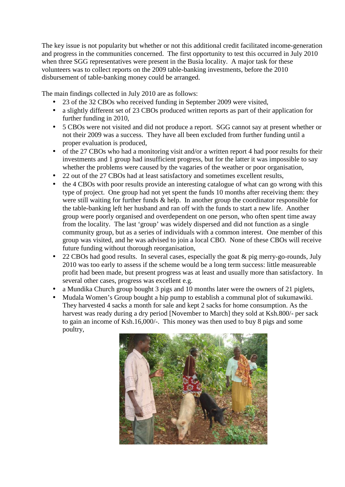The key issue is not popularity but whether or not this additional credit facilitated income-generation and progress in the communities concerned. The first opportunity to test this occurred in July 2010 when three SGG representatives were present in the Busia locality. A major task for these volunteers was to collect reports on the 2009 table-banking investments, before the 2010 disbursement of table-banking money could be arranged.

The main findings collected in July 2010 are as follows:

- 23 of the 32 CBOs who received funding in September 2009 were visited,
- a slightly different set of 23 CBOs produced written reports as part of their application for further funding in 2010,
- 5 CBOs were not visited and did not produce a report. SGG cannot say at present whether or not their 2009 was a success. They have all been excluded from further funding until a proper evaluation is produced,
- of the 27 CBOs who had a monitoring visit and/or a written report 4 had poor results for their investments and 1 group had insufficient progress, but for the latter it was impossible to say whether the problems were caused by the vagaries of the weather or poor organisation,
- 22 out of the 27 CBOs had at least satisfactory and sometimes excellent results,
- the 4 CBOs with poor results provide an interesting catalogue of what can go wrong with this type of project. One group had not yet spent the funds 10 months after receiving them: they were still waiting for further funds & help. In another group the coordinator responsible for the table-banking left her husband and ran off with the funds to start a new life. Another group were poorly organised and overdependent on one person, who often spent time away from the locality. The last 'group' was widely dispersed and did not function as a single community group, but as a series of individuals with a common interest. One member of this group was visited, and he was advised to join a local CBO. None of these CBOs will receive future funding without thorough reorganisation,
- 22 CBOs had good results. In several cases, especially the goat & pig merry-go-rounds, July 2010 was too early to assess if the scheme would be a long term success: little measureable profit had been made, but present progress was at least and usually more than satisfactory. In several other cases, progress was excellent e.g.
- a Mundika Church group bought 3 pigs and 10 months later were the owners of 21 piglets,
- Mudala Women's Group bought a hip pump to establish a communal plot of sukumawiki. They harvested 4 sacks a month for sale and kept 2 sacks for home consumption. As the harvest was ready during a dry period [November to March] they sold at Ksh.800/- per sack to gain an income of Ksh.16,000/-. This money was then used to buy 8 pigs and some poultry,

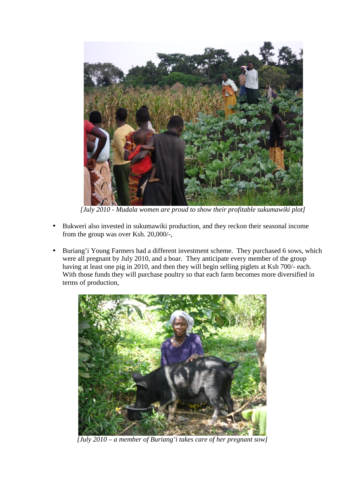

*[July 2010 - Mudala women are proud to show their profitable sukumawiki plot]*

- Bukweri also invested in sukumawiki production, and they reckon their seasonal income from the group was over Ksh. 20,000/-,
- Buriang'i Young Farmers had a different investment scheme. They purchased 6 sows, which were all pregnant by July 2010, and a boar. They anticipate every member of the group having at least one pig in 2010, and then they will begin selling piglets at Ksh 700/- each. With those funds they will purchase poultry so that each farm becomes more diversified in terms of production,



*[July 2010 – a member of Buriang'i takes care of her pregnant sow]*